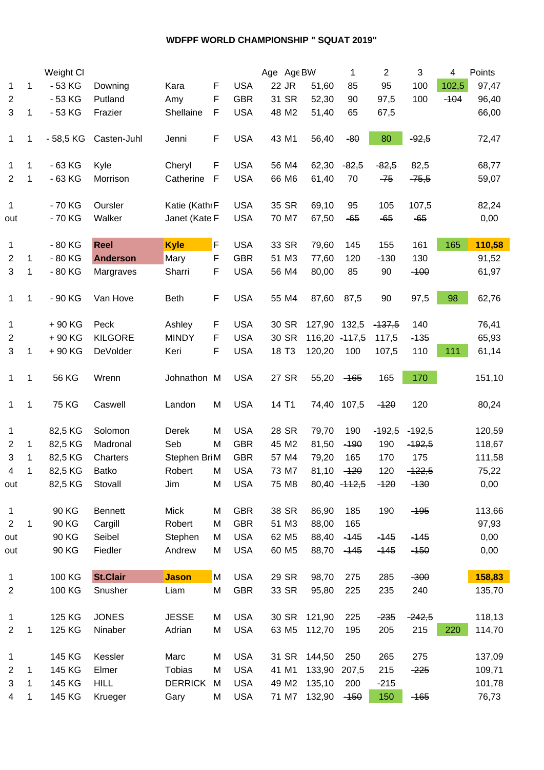## **WDFPF WORLD CHAMPIONSHIP " SQUAT 2019"**

|                     |   | Weight Cl    |                     |                |             |                          | Age Age BW        |                 | 1             | $\overline{c}$ | 3        | 4      | Points |  |
|---------------------|---|--------------|---------------------|----------------|-------------|--------------------------|-------------------|-----------------|---------------|----------------|----------|--------|--------|--|
| 1                   | 1 | $-53$ KG     | Downing             | Kara           | F           | <b>USA</b>               | 22 JR             | 51,60           | 85            | 95             | 100      | 102,5  | 97,47  |  |
| $\overline{2}$      |   | $-53$ KG     | Putland             | Amy            | F           | <b>GBR</b>               | 31 SR             | 52,30           | 90            | 97,5           | 100      | $-104$ | 96,40  |  |
| 3                   | 1 | $-53$ KG     | Frazier             | Shellaine      | $\mathsf F$ | <b>USA</b>               | 48 M2             | 51,40           | 65            | 67,5           |          |        | 66,00  |  |
|                     |   |              |                     |                |             |                          |                   |                 |               |                |          |        |        |  |
| 1                   | 1 | - 58,5 KG    | Casten-Juhl         | Jenni          | F           | <b>USA</b>               | 43 M1             | 56,40           | $-80$         | 80             | $-92,5$  |        | 72,47  |  |
|                     |   |              |                     |                |             |                          |                   |                 |               |                |          |        |        |  |
| 1                   | 1 | $-63$ KG     | Kyle                | Cheryl         | F           | <b>USA</b>               | 56 M4             | 62,30           | $-82,5$       | $-82,5$        | 82,5     |        | 68,77  |  |
| $\overline{2}$      | 1 | $-63$ KG     | Morrison            | Catherine      | F           | <b>USA</b>               | 66 M6             | 61,40           | 70            | $-75$          | $-75,5$  |        | 59,07  |  |
|                     |   |              |                     |                |             |                          |                   |                 |               |                |          |        |        |  |
| $\mathbf{1}$        |   | - 70 KG      | Oursler             | Katie (Kathı F |             | <b>USA</b>               | 35 SR             | 69,10           | 95            | 105            | 107,5    |        | 82,24  |  |
| out                 |   | - 70 KG      | Walker              | Janet (Kate F  |             | <b>USA</b>               | 70 M7             | 67,50           | $-65$         | $-65$          | $-65$    |        | 0,00   |  |
|                     |   |              |                     |                |             |                          |                   |                 |               |                |          |        |        |  |
| $\mathbf{1}$        |   | $-80$ KG     | <b>Reel</b>         | <b>Kyle</b>    | $\mathsf F$ | <b>USA</b>               | 33 SR             | 79,60           | 145           | 155            | 161      | 165    | 110,58 |  |
| $\overline{c}$      | 1 | - 80 KG      | <b>Anderson</b>     | Mary           | F           | <b>GBR</b>               | 51 M3             | 77,60           | 120           | $-130$         | 130      |        | 91,52  |  |
| 3                   | 1 | $-80$ KG     | Margraves           | Sharri         | F           | <b>USA</b>               | 56 M4             | 80,00           | 85            | 90             | $-100$   |        | 61,97  |  |
|                     |   |              |                     |                |             |                          |                   |                 |               |                |          |        |        |  |
| $\mathbf{1}$        | 1 | - 90 KG      | Van Hove            | <b>Beth</b>    | F           | <b>USA</b>               | 55 M4             | 87,60           | 87,5          | 90             | 97,5     | 98     | 62,76  |  |
|                     |   |              |                     |                |             |                          |                   |                 |               |                |          |        |        |  |
| 1                   |   | +90 KG       | Peck                | Ashley         | F           | <b>USA</b>               | 30 SR             | 127,90 132,5    |               | $-137,5$       | 140      |        | 76,41  |  |
| $\overline{c}$      |   | +90 KG       | <b>KILGORE</b>      | <b>MINDY</b>   | F           | <b>USA</b>               | 30 SR             | $116,20 -117,5$ |               | 117,5          | $-135$   |        | 65,93  |  |
| 3                   | 1 | +90 KG       | DeVolder            | Keri           | F           | <b>USA</b>               | 18 T <sub>3</sub> | 120,20          | 100           | 107,5          | 110      | 111    | 61,14  |  |
|                     |   |              |                     |                |             |                          |                   |                 |               |                |          |        |        |  |
| $\mathbf{1}$        | 1 | 56 KG        | Wrenn               | Johnathon M    |             | <b>USA</b>               | 27 SR             | 55,20           | $-165$        | 165            | 170      |        | 151,10 |  |
|                     |   |              |                     |                |             |                          |                   |                 |               |                |          |        |        |  |
| $\mathbf{1}$        | 1 | <b>75 KG</b> | Caswell             | Landon         | M           | <b>USA</b>               | 14 T1             | 74,40 107,5     |               | $-120$         | 120      |        | 80,24  |  |
|                     |   |              |                     |                |             |                          |                   |                 |               |                | $-192,5$ |        |        |  |
| $\mathbf{1}$        |   | 82,5 KG      | Solomon<br>Madronal | Derek<br>Seb   | M<br>M      | <b>USA</b><br><b>GBR</b> | 28 SR<br>45 M2    | 79,70           | 190           | $-192,5$       |          |        | 120,59 |  |
| 2                   | 1 | 82,5 KG      |                     |                |             |                          |                   | 81,50           | $-190$        | 190            | $-192,5$ |        | 118,67 |  |
| 3                   | 1 | 82,5 KG      | Charters            | Stephen BriM   |             | <b>GBR</b>               | 57 M4             | 79,20           | 165           | 170            | 175      |        | 111,58 |  |
| 4                   | 1 | 82,5 KG      | <b>Batko</b>        | Robert         | M           | <b>USA</b>               | 73 M7             | 81,10           | $-120$        | 120            | $-422,5$ |        | 75,22  |  |
| out                 |   | 82,5 KG      | Stovall             | Jim            | M           | <b>USA</b>               | 75 M8             |                 | 80,40 - 112,5 | $-120$         | $-130$   |        | 0,00   |  |
|                     |   | 90 KG        | <b>Bennett</b>      | <b>Mick</b>    | M           | <b>GBR</b>               | 38 SR             | 86,90           | 185           | 190            | $-195$   |        | 113,66 |  |
| 1<br>$\overline{2}$ | 1 | 90 KG        | Cargill             | Robert         | M           | <b>GBR</b>               | 51 M3             | 88,00           | 165           |                |          |        | 97,93  |  |
|                     |   | 90 KG        |                     |                |             |                          |                   |                 |               |                |          |        | 0,00   |  |
| out                 |   |              | Seibel              | Stephen        | M           | <b>USA</b>               | 62 M <sub>5</sub> | 88,40           | $-145$        | $-145$         | $-145$   |        |        |  |
| out                 |   | 90 KG        | Fiedler             | Andrew         | M           | <b>USA</b>               | 60 M <sub>5</sub> | 88,70           | $-145$        | $-145$         | $-150$   |        | 0,00   |  |
| $\mathbf{1}$        |   | 100 KG       | <b>St.Clair</b>     | <b>Jason</b>   | M           | <b>USA</b>               | 29 SR             | 98,70           | 275           | 285            | $-300$   |        | 158,83 |  |
| $\sqrt{2}$          |   | 100 KG       | Snusher             | Liam           | M           | <b>GBR</b>               | 33 SR             | 95,80           | 225           | 235            | 240      |        | 135,70 |  |
|                     |   |              |                     |                |             |                          |                   |                 |               |                |          |        |        |  |
| $\mathbf{1}$        |   | 125 KG       | <b>JONES</b>        | <b>JESSE</b>   | M           | <b>USA</b>               | 30 SR             | 121,90          | 225           | $-235$         | $-242,5$ |        | 118,13 |  |
| 2                   | 1 | 125 KG       | Ninaber             | Adrian         | M           | <b>USA</b>               | 63 M <sub>5</sub> | 112,70          | 195           | 205            | 215      | 220    | 114,70 |  |
|                     |   |              |                     |                |             |                          |                   |                 |               |                |          |        |        |  |
| $\mathbf{1}$        |   | 145 KG       | Kessler             | Marc           | M           | <b>USA</b>               | 31 SR             | 144,50          | 250           | 265            | 275      |        | 137,09 |  |
| $\overline{2}$      | 1 | 145 KG       | Elmer               | <b>Tobias</b>  | M           | <b>USA</b>               | 41 M1             | 133,90          | 207,5         | 215            | $-225$   |        | 109,71 |  |
| 3                   | 1 | 145 KG       | <b>HILL</b>         | <b>DERRICK</b> | M           | <b>USA</b>               | 49 M <sub>2</sub> | 135,10          | 200           | $-215$         |          |        | 101,78 |  |
| 4                   | 1 | 145 KG       | Krueger             | Gary           | M           | <b>USA</b>               | 71 M7             | 132,90          | $-150$        | 150            | $-165$   |        | 76,73  |  |
|                     |   |              |                     |                |             |                          |                   |                 |               |                |          |        |        |  |